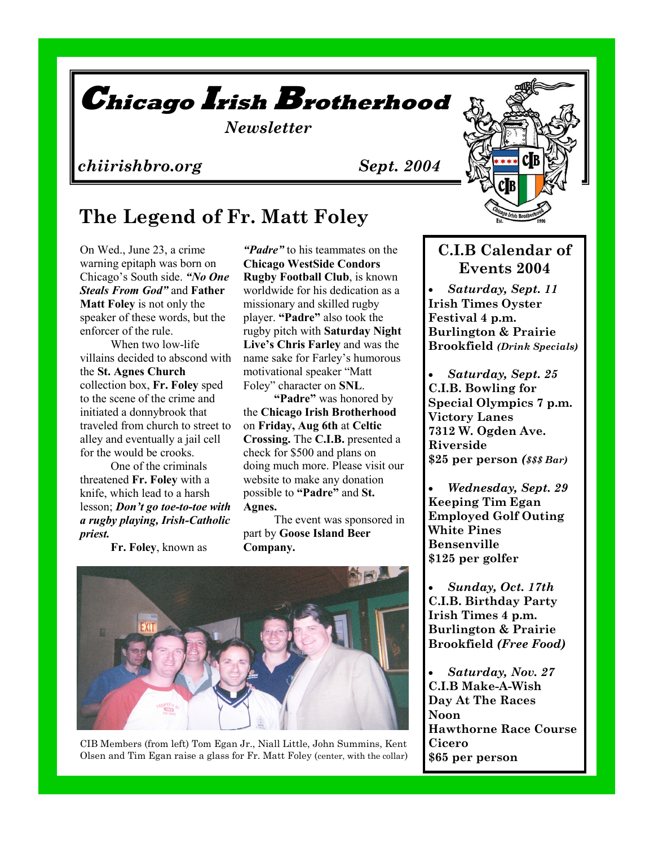

## *chiirishbro.org Sept. 2004*

# **The Legend of Fr. Matt Foley**

On Wed., June 23, a crime warning epitaph was born on Chicago's South side. *"No One Steals From God"* and **Father Matt Foley** is not only the speaker of these words, but the enforcer of the rule.

When two low-life villains decided to abscond with the **St. Agnes Church**  collection box, **Fr. Foley** sped to the scene of the crime and initiated a donnybrook that traveled from church to street to alley and eventually a jail cell for the would be crooks.

One of the criminals threatened **Fr. Foley** with a knife, which lead to a harsh lesson; *Don't go toe-to-toe with a rugby playing, Irish-Catholic priest.*

**Fr. Foley**, known as

*"Padre"* to his teammates on the **Chicago WestSide Condors Rugby Football Club**, is known worldwide for his dedication as a missionary and skilled rugby player. **"Padre"** also took the rugby pitch with **Saturday Night Live's Chris Farley** and was the name sake for Farley's humorous motivational speaker "Matt Foley" character on **SNL**.

**"Padre"** was honored by the **Chicago Irish Brotherhood** on **Friday, Aug 6th** at **Celtic Crossing.** The **C.I.B.** presented a check for \$500 and plans on doing much more. Please visit our website to make any donation possible to **"Padre"** and **St. Agnes.**

The event was sponsored in part by **Goose Island Beer Company.** 



CIB Members (from left) Tom Egan Jr., Niall Little, John Summins, Kent Olsen and Tim Egan raise a glass for Fr. Matt Foley (center, with the collar)



## **C.I.B Calendar of Events 2004**

 *Saturday, Sept. 11* **Irish Times Oyster Festival 4 p.m. Burlington & Prairie Brookfield** *(Drink Specials)*

 *Saturday, Sept. 25* **C.I.B. Bowling for Special Olympics 7 p.m. Victory Lanes 7312 W. Ogden Ave. Riverside \$25 per person** *(\$\$\$ Bar)*

 *Wednesday, Sept. 29* **Keeping Tim Egan Employed Golf Outing White Pines Bensenville \$125 per golfer**

 *Sunday, Oct. 17th* **C.I.B. Birthday Party Irish Times 4 p.m. Burlington & Prairie Brookfield** *(Free Food)*

 *Saturday, Nov. 27* **C.I.B Make-A-Wish Day At The Races Noon Hawthorne Race Course Cicero \$65 per person**